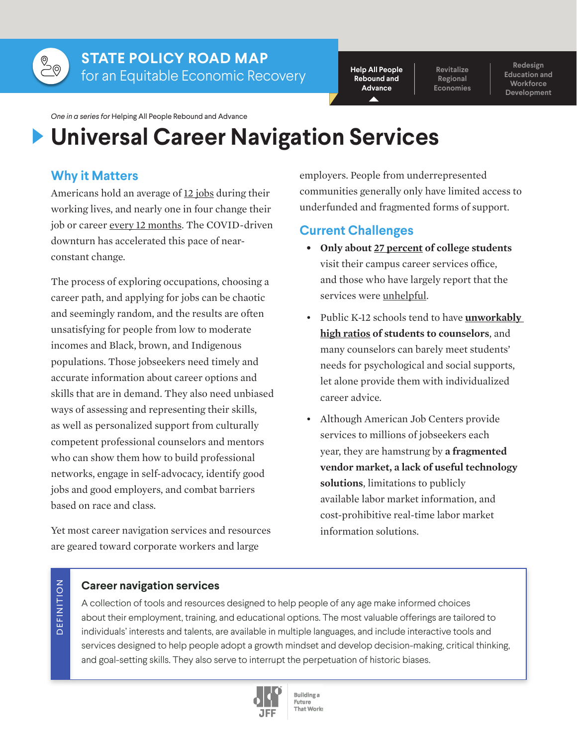

# **STATE POLICY ROAD MAP** for an Equitable Economic Recovery

**Help All People Rebound and Advance**

**Revitalize Regional Economies**

**Redesign Education and Workforce Development**

*One in a series for* Helping All People Rebound and Advance

# **Universal Career Navigation Services**

# **Why it Matters**

Americans hold an average of [12 jobs](https://www.bls.gov/news.release/pdf/nlsoy.pdf) during their working lives, and nearly one in four change their job or career [every 12 months.](https://www.bls.gov/news.release/pdf/nlsoy.pdf) The COVID-driven downturn has accelerated this pace of nearconstant change.

The process of exploring occupations, choosing a career path, and applying for jobs can be chaotic and seemingly random, and the results are often unsatisfying for people from low to moderate incomes and Black, brown, and Indigenous populations. Those jobseekers need timely and accurate information about career options and skills that are in demand. They also need unbiased ways of assessing and representing their skills, as well as personalized support from culturally competent professional counselors and mentors who can show them how to build professional networks, engage in self-advocacy, identify good jobs and good employers, and combat barriers based on race and class.

Yet most career navigation services and resources are geared toward corporate workers and large

employers. People from underrepresented communities generally only have limited access to underfunded and fragmented forms of support.

# **Current Challenges**

- **• Only about [27 percent](https://news.gallup.com/poll/244811/professors-provide-valued-career-advice-grads.aspx) of college students** visit their campus career services office, and those who have largely report that the services were [unhelpful.](https://www.insidehighered.com/news/2016/12/13/only-17-percent-recent-graduates-say-career-centers-are-very-helpful)
- Public K-12 schools tend to have **[unworkably](https://blogs.edweek.org/edweek/high_school_and_beyond/2018/11/college_advising_is_in_short_supply.html)  [high ratios](https://blogs.edweek.org/edweek/high_school_and_beyond/2018/11/college_advising_is_in_short_supply.html) of students to counselors**, and many counselors can barely meet students' needs for psychological and social supports, let alone provide them with individualized career advice.
- Although American Job Centers provide services to millions of jobseekers each year, they are hamstrung by **a fragmented vendor market, a lack of useful technology solutions**, limitations to publicly available labor market information, and cost-prohibitive real-time labor market information solutions.

# D E F I N I T I O N DEFINITION

## **Career navigation services**

A collection of tools and resources designed to help people of any age make informed choices about their employment, training, and educational options. The most valuable offerings are tailored to individuals' interests and talents, are available in multiple languages, and include interactive tools and services designed to help people adopt a growth mindset and develop decision-making, critical thinking, and goal-setting skills. They also serve to interrupt the perpetuation of historic biases.



**Building** a Future That Works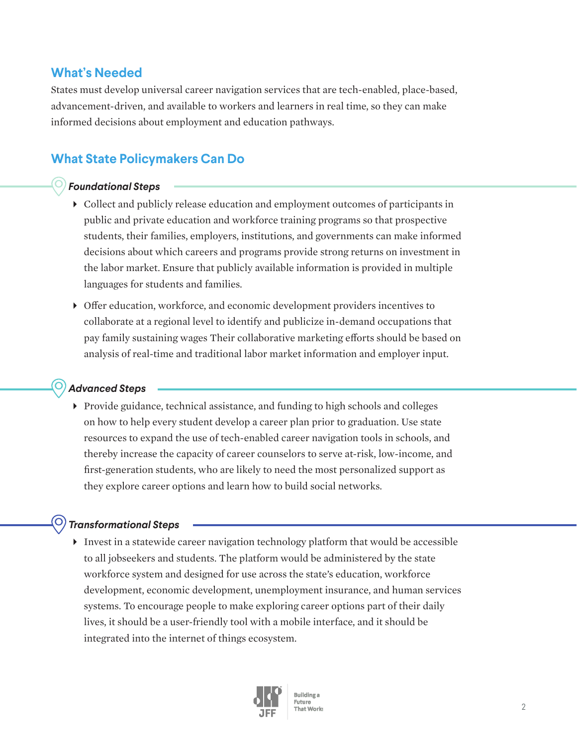## **What's Needed**

States must develop universal career navigation services that are tech-enabled, place-based, advancement-driven, and available to workers and learners in real time, so they can make informed decisions about employment and education pathways.

# **What State Policymakers Can Do**

## *Foundational Steps*

- Collect and publicly release education and employment outcomes of participants in public and private education and workforce training programs so that prospective students, their families, employers, institutions, and governments can make informed decisions about which careers and programs provide strong returns on investment in the labor market. Ensure that publicly available information is provided in multiple languages for students and families.
- Offer education, workforce, and economic development providers incentives to collaborate at a regional level to identify and publicize in-demand occupations that pay family sustaining wages Their collaborative marketing efforts should be based on analysis of real-time and traditional labor market information and employer input.

## *Advanced Steps*

 $\triangleright$  Provide guidance, technical assistance, and funding to high schools and colleges on how to help every student develop a career plan prior to graduation. Use state resources to expand the use of tech-enabled career navigation tools in schools, and thereby increase the capacity of career counselors to serve at-risk, low-income, and first-generation students, who are likely to need the most personalized support as they explore career options and learn how to build social networks.

## *Transformational Steps*

Invest in a statewide career navigation technology platform that would be accessible to all jobseekers and students. The platform would be administered by the state workforce system and designed for use across the state's education, workforce development, economic development, unemployment insurance, and human services systems. To encourage people to make exploring career options part of their daily lives, it should be a user-friendly tool with a mobile interface, and it should be integrated into the internet of things ecosystem.



**Building** a Future That Works